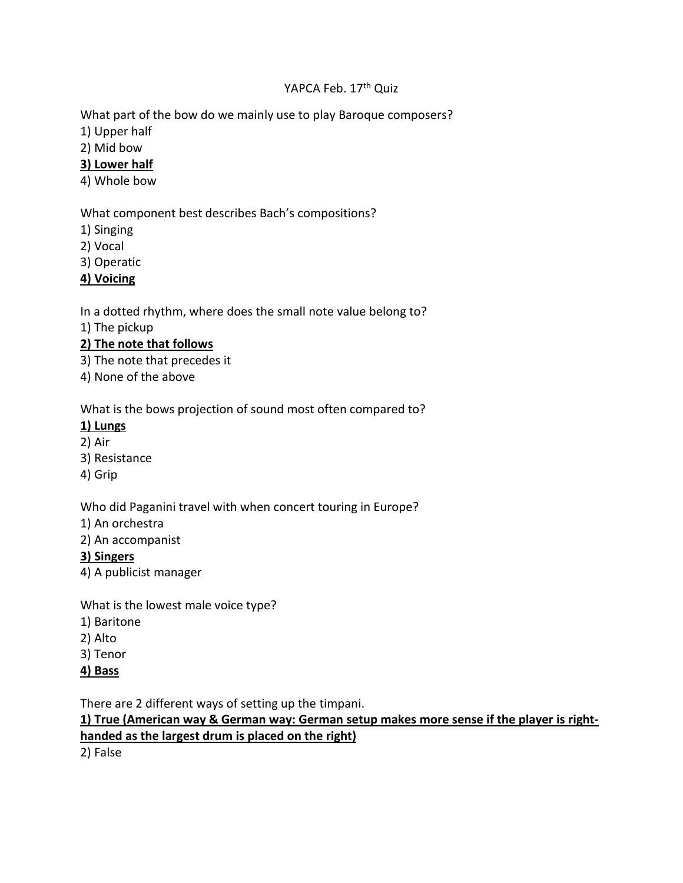### YAPCA Feb. 17<sup>th</sup> Quiz

What part of the bow do we mainly use to play Baroque composers?

- 1) Upper half
- 2) Mid bow

## **3) Lower half**

4) Whole bow

## What component best describes Bach's compositions?

- 1) Singing
- 2) Vocal
- 3) Operatic
- **4) Voicing**

In a dotted rhythm, where does the small note value belong to?

1) The pickup

# **2) The note that follows**

- 3) The note that precedes it
- 4) None of the above

What is the bows projection of sound most often compared to?

## **1) Lungs**

- 2) Air
- 3) Resistance
- 4) Grip

Who did Paganini travel with when concert touring in Europe?

- 1) An orchestra
- 2) An accompanist

## **3) Singers**

4) A publicist manager

What is the lowest male voice type?

- 1) Baritone
- 2) Alto
- 3) Tenor
- **4) Bass**

There are 2 different ways of setting up the timpani.

# **1) True (American way & German way: German setup makes more sense if the player is righthanded as the largest drum is placed on the right)**

2) False